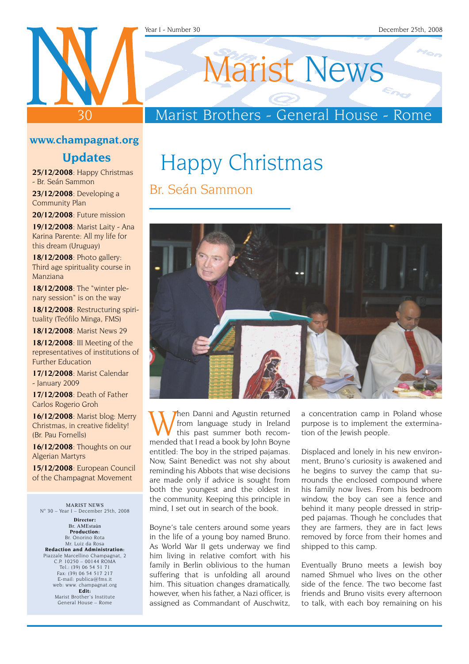# 30

## Marist News Marist Brothers - General House - Rome

#### **www.champagnat.org**

#### **Updates**

**25/12/2008**: Happy Christmas - Br. Seán Sammon

**23/12/2008**: Developing a Community Plan

**20/12/2008**: Future mission

**19/12/2008**: Marist Laity - Ana Karina Parente: All my life for this dream (Uruguay)

**18/12/2008**: Photo gallery: Third age spirituality course in Manziana

**18/12/2008**: The "winter plenary session" is on the way

**18/12/2008**: Restructuring spirituality (Teófilo Minga, FMS)

**18/12/2008**: Marist News 29

**18/12/2008**: III Meeting of the representatives of institutions of Further Education

**17/12/2008**: Marist Calendar - January 2009

**17/12/2008**: Death of Father Carlos Rogerio Groh

**16/12/2008**: Marist blog: Merry Christmas, in creative fidelity! (Br. Pau Fornells)

**16/12/2008**: Thoughts on our Algerian Martyrs

**15/12/2008**: European Council of the Champagnat Movement

MARIST NEWS N° 30 – Year I – December 25th, 2008

**Director:** Br. AMEstaún **Production:** Br. Onorino Rota Mr. Luiz da Rosa **Redaction and Administration:** Piazzale Marcellino Champagnat, 2 C.P. 10250 – 00144 ROMA Tel.: (39) 06 54 51 71 Fax: (39) 06 54 517 217 E-mail: publica@fms.it web: www. champagnat.org **Edit:** Marist Brother's Institute General House – Rome

### Happy Christmas

Br. Seán Sammon



When Danni and Agustin returned<br>
from language study in Ireland<br>
this past summer both recomfrom language study in Ireland mended that I read a book by John Boyne entitled: The boy in the striped pajamas. Now, Saint Benedict was not shy about reminding his Abbots that wise decisions are made only if advice is sought from both the youngest and the oldest in the community. Keeping this principle in mind, I set out in search of the book.

Boyne's tale centers around some years in the life of a young boy named Bruno. As World War II gets underway we find him living in relative comfort with his family in Berlin oblivious to the human suffering that is unfolding all around him. This situation changes dramatically, however, when his father, a Nazi officer, is assigned as Commandant of Auschwitz,

a concentration camp in Poland whose purpose is to implement the extermination of the Jewish people.

Displaced and lonely in his new environment, Bruno's curiosity is awakened and he begins to survey the camp that surrounds the enclosed compound where his family now lives. From his bedroom window, the boy can see a fence and behind it many people dressed in stripped pajamas. Though he concludes that they are farmers, they are in fact Jews removed by force from their homes and shipped to this camp.

Eventually Bruno meets a Jewish boy named Shmuel who lives on the other side of the fence. The two become fast friends and Bruno visits every afternoon to talk, with each boy remaining on his